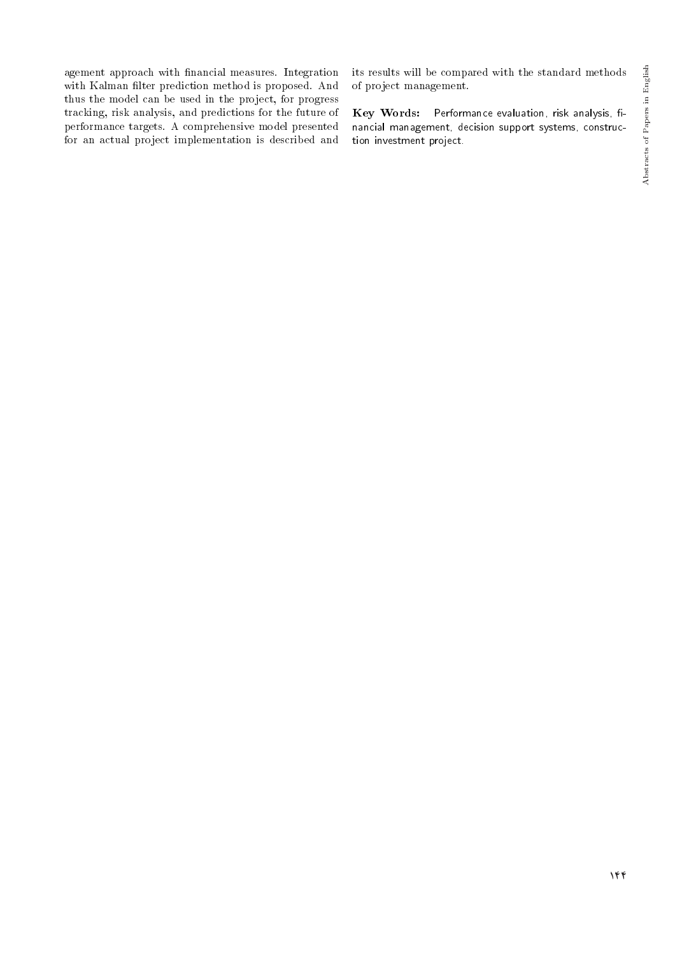agement approach with financial measures. Integration with Kalman filter prediction method is proposed. And thus the model can be used in the project, for progress tracking, risk analysis, and predictions for the future of performance targets. A comprehensive model presented for an actual project implementation is described and

its results will be compared with the standard methods of project management.

Key Words: Performance evaluation, risk analysis, financial management, decision support systems, construction investment project.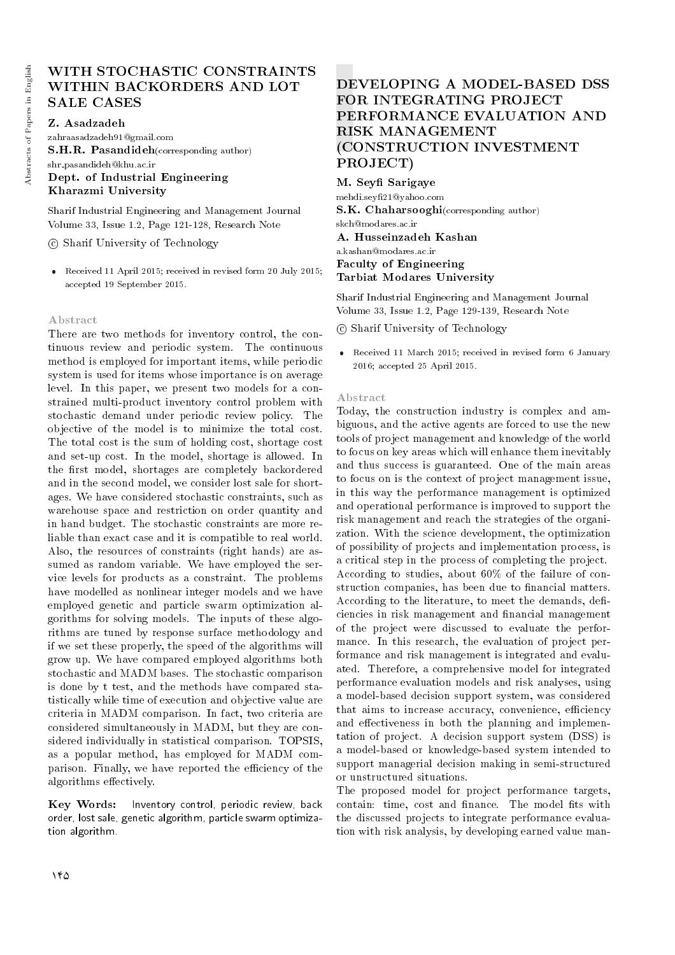# WITH STOCHASTIC CONSTRAINTS WITHIN BACKORDERS AND LOT SALE CASES

Z. Asadzadeh

zahraasadzadeh91@gmail.com S.H.R. Pasandideh(corresponding author) shr pasandideh@khu.ac.ir Dept. of Industrial Engineering Kharazmi University

Sharif Industrial Engineering and Management Journal Volume 33, Issue 1.2, Page 121-128, Research Note

c Sharif University of Technology

 Received 11 April 2015; received in revised form 20 July 2015; accepted 19 September 2015.

## Abstract

There are two methods for inventory control, the continuous review and periodic system. The continuous method is employed for important items, while periodic system is used for items whose importance is on average level. In this paper, we present two models for a constrained multi-product inventory control problem with stochastic demand under periodic review policy. The objective of the model is to minimize the total cost. The total cost is the sum of holding cost, shortage cost and set-up cost. In the model, shortage is allowed. In the first model, shortages are completely backordered and in the second model, we consider lost sale for shortages. We have considered stochastic constraints, such as warehouse space and restriction on order quantity and in hand budget. The stochastic constraints are more reliable than exact case and it is compatible to real world. Also, the resources of constraints (right hands) are assumed as random variable. We have employed the service levels for products as a constraint. The problems have modelled as nonlinear integer models and we have employed genetic and particle swarm optimization algorithms for solving models. The inputs of these algorithms are tuned by response surface methodology and if we set these properly, the speed of the algorithms will grow up. We have compared employed algorithms both stochastic and MADM bases. The stochastic comparison is done by t test, and the methods have compared statistically while time of execution and objective value are criteria in MADM comparison. In fact, two criteria are considered simultaneously in MADM, but they are considered individually in statistical comparison. TOPSIS, as a popular method, has employed for MADM comparison. Finally, we have reported the efficiency of the algorithms effectively.

Key Words: Inventory control, periodic review, back order, lost sale, genetic algorithm, particle swarm optimization algorithm.

# DEVELOPING A MODEL-BASED DSS FOR INTEGRATING PROJECT PERFORMANCE EVALUATION AND RISK MANAGEMENT (CONSTRUCTION INVESTMENT PROJECT)

M. Seyfi Sarigaye mehdi.sey21@yahoo.com S.K. Chaharsooghi(corresponding author) skch@modares.ac.ir A. Husseinzadeh Kashan a.kashan@modares.ac.ir Faculty of Engineering Tarbiat Modares University

Sharif Industrial Engineering and Management Journal Volume 33, Issue 1.2, Page 129-139, Research Note

c Sharif University of Technology

 Received 11 March 2015; received in revised form 6 January 2016; accepted 25 April 2015.

#### Abstract

Today, the construction industry is complex and ambiguous, and the active agents are forced to use the new tools of project management and knowledge of the world to focus on key areas which will enhance them inevitably and thus success is guaranteed. One of the main areas to focus on is the context of project management issue, in this way the performance management is optimized and operational performance is improved to support the risk management and reach the strategies of the organization. With the science development, the optimization of possibility of projects and implementation process, is a critical step in the process of completing the project. According to studies, about 60% of the failure of construction companies, has been due to financial matters. According to the literature, to meet the demands, deficiencies in risk management and financial management of the project were discussed to evaluate the performance. In this research, the evaluation of project performance and risk management is integrated and evaluated. Therefore, a comprehensive model for integrated performance evaluation models and risk analyses, using a model-based decision support system, was considered that aims to increase accuracy, convenience, efficiency and effectiveness in both the planning and implementation of project. A decision support system (DSS) is a model-based or knowledge-based system intended to support managerial decision making in semi-structured or unstructured situations.

The proposed model for project performance targets, contain: time, cost and finance. The model fits with the discussed projects to integrate performance evaluation with risk analysis, by developing earned value man-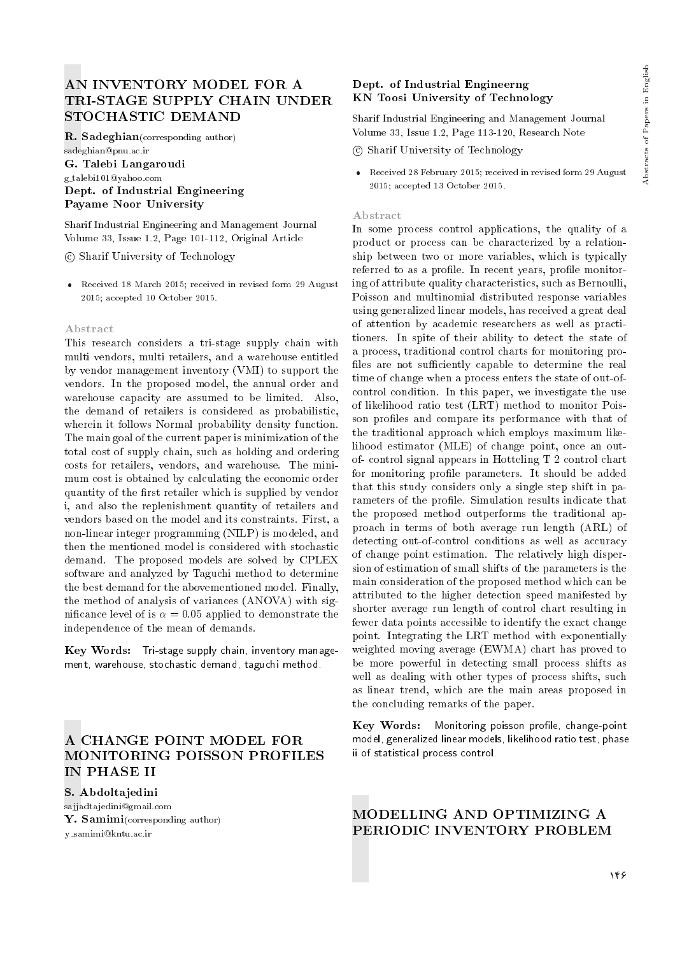# AN INVENTORY MODEL FOR A TRI-STAGE SUPPLY CHAIN UNDER STOCHASTIC DEMAND

R. Sadeghian(corresponding author) sadeghian@pnu.ac.ir G. Talebi Langaroudi g talebi101@yahoo.com Dept. of Industrial Engineering Payame Noor University

Sharif Industrial Engineering and Management Journal Volume 33, Issue 1.2, Page 101-112, Original Article

c Sharif University of Technology

 Received 18 March 2015; received in revised form 29 August 2015; accepted 10 October 2015.

#### Abstract

This research considers a tri-stage supply chain with multi vendors, multi retailers, and a warehouse entitled by vendor management inventory (VMI) to support the vendors. In the proposed model, the annual order and warehouse capacity are assumed to be limited. Also, the demand of retailers is considered as probabilistic, wherein it follows Normal probability density function. The main goal of the current paper is minimization of the total cost of supply chain, such as holding and ordering costs for retailers, vendors, and warehouse. The minimum cost is obtained by calculating the economic order quantity of the first retailer which is supplied by vendor i, and also the replenishment quantity of retailers and vendors based on the model and its constraints. First, a non-linear integer programming (NILP) is modeled, and then the mentioned model is considered with stochastic demand. The proposed models are solved by CPLEX software and analyzed by Taguchi method to determine the best demand for the abovementioned model. Finally, the method of analysis of variances (ANOVA) with significance level of is  $\alpha = 0.05$  applied to demonstrate the independence of the mean of demands.

Key Words: Tri-stage supply chain, inventory management, warehouse, stochastic demand, taguchi method.

# A CHANGE POINT MODEL FOR MONITORING POISSON PROFILES IN PHASE II

S. Abdoltajedini sajjadtajedini@gmail.com Y. Samimi(corresponding author) y samimi@kntu.ac.ir

## Dept. of Industrial Engineerng KN Toosi University of Technology

Sharif Industrial Engineering and Management Journal Volume 33, Issue 1.2, Page 113-120, Research Note

- c Sharif University of Technology
- Received 28 February 2015; received in revised form 29 August 2015; accepted 13 October 2015.

#### Abstract

In some process control applications, the quality of a product or process can be characterized by a relationship between two or more variables, which is typically referred to as a profile. In recent years, profile monitoring of attribute quality characteristics, such as Bernoulli, Poisson and multinomial distributed response variables using generalized linear models, has received a great deal of attention by academic researchers as well as practitioners. In spite of their ability to detect the state of a process, traditional control charts for monitoring pro files are not sufficiently capable to determine the real time of change when a process enters the state of out-ofcontrol condition. In this paper, we investigate the use of likelihood ratio test (LRT) method to monitor Poisson profiles and compare its performance with that of the traditional approach which employs maximum likelihood estimator (MLE) of change point, once an outof- control signal appears in Hotteling T 2 control chart for monitoring profile parameters. It should be added that this study considers only a single step shift in parameters of the profile. Simulation results indicate that the proposed method outperforms the traditional approach in terms of both average run length (ARL) of detecting out-of-control conditions as well as accuracy of change point estimation. The relatively high dispersion of estimation of small shifts of the parameters is the main consideration of the proposed method which can be attributed to the higher detection speed manifested by shorter average run length of control chart resulting in fewer data points accessible to identify the exact change point. Integrating the LRT method with exponentially weighted moving average (EWMA) chart has proved to be more powerful in detecting small process shifts as well as dealing with other types of process shifts, such as linear trend, which are the main areas proposed in the concluding remarks of the paper.

Key Words: Monitoring poisson profile, change-point model, generalized linear models, likelihood ratio test, phase ii of statistical process control.

## MODELLING AND OPTIMIZING A PERIODIC INVENTORY PROBLEM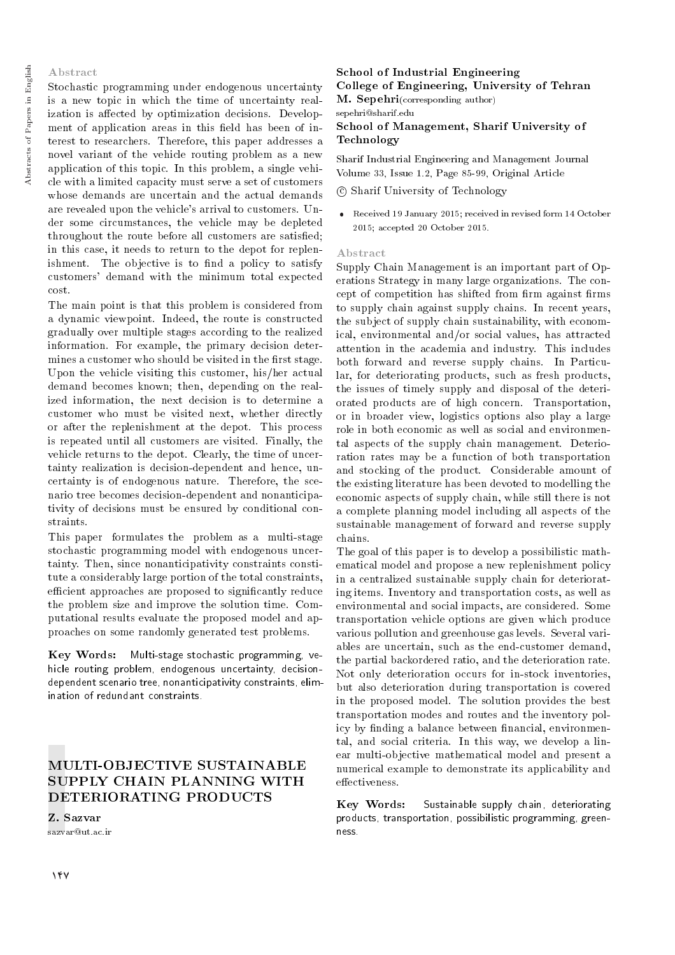#### Abstract

Stochastic programming under endogenous uncertainty is a new topic in which the time of uncertainty realization is affected by optimization decisions. Development of application areas in this field has been of interest to researchers. Therefore, this paper addresses a novel variant of the vehicle routing problem as a new application of this topic. In this problem, a single vehicle with a limited capacity must serve a set of customers whose demands are uncertain and the actual demands are revealed upon the vehicle's arrival to customers. Under some circumstances, the vehicle may be depleted throughout the route before all customers are satised; in this case, it needs to return to the depot for replenishment. The objective is to find a policy to satisfy customers' demand with the minimum total expected cost.

The main point is that this problem is considered from a dynamic viewpoint. Indeed, the route is constructed gradually over multiple stages according to the realized information. For example, the primary decision determines a customer who should be visited in the first stage. Upon the vehicle visiting this customer, his/her actual demand becomes known; then, depending on the realized information, the next decision is to determine a customer who must be visited next, whether directly or after the replenishment at the depot. This process is repeated until all customers are visited. Finally, the vehicle returns to the depot. Clearly, the time of uncertainty realization is decision-dependent and hence, uncertainty is of endogenous nature. Therefore, the scenario tree becomes decision-dependent and nonanticipativity of decisions must be ensured by conditional constraints.

This paper formulates the problem as a multi-stage stochastic programming model with endogenous uncertainty. Then, since nonanticipativity constraints constitute a considerably large portion of the total constraints, efficient approaches are proposed to significantly reduce the problem size and improve the solution time. Computational results evaluate the proposed model and approaches on some randomly generated test problems.

Key Words: Multi-stage stochastic programming, vehicle routing problem, endogenous uncertainty, decisiondependent scenario tree, nonanticipativity constraints, elimination of redundant constraints.

# MULTI-OBJECTIVE SUSTAINABLE SUPPLY CHAIN PLANNING WITH DETERIORATING PRODUCTS

Z. Sazvar sazvar@ut.ac.ir

## School of Industrial Engineering College of Engineering, University of Tehran

M. Sepehri(corresponding author) sepehri@sharif.edu

School of Management, Sharif University of Technology

Sharif Industrial Engineering and Management Journal Volume 33, Issue 1.2, Page 85-99, Original Article

#### c Sharif University of Technology

 Received 19 January 2015; received in revised form 14 October 2015; accepted 20 October 2015.

#### Abstract

Supply Chain Management is an important part of Operations Strategy in many large organizations. The concept of competition has shifted from firm against firms to supply chain against supply chains. In recent years, the subject of supply chain sustainability, with economical, environmental and/or social values, has attracted attention in the academia and industry. This includes both forward and reverse supply chains. In Particular, for deteriorating products, such as fresh products, the issues of timely supply and disposal of the deteriorated products are of high concern. Transportation, or in broader view, logistics options also play a large role in both economic as well as social and environmental aspects of the supply chain management. Deterioration rates may be a function of both transportation and stocking of the product. Considerable amount of the existing literature has been devoted to modelling the economic aspects of supply chain, while still there is not a complete planning model including all aspects of the sustainable management of forward and reverse supply chains.

The goal of this paper is to develop a possibilistic mathematical model and propose a new replenishment policy in a centralized sustainable supply chain for deteriorating items. Inventory and transportation costs, as well as environmental and social impacts, are considered. Some transportation vehicle options are given which produce various pollution and greenhouse gas levels. Several variables are uncertain, such as the end-customer demand, the partial backordered ratio, and the deterioration rate. Not only deterioration occurs for in-stock inventories, but also deterioration during transportation is covered in the proposed model. The solution provides the best transportation modes and routes and the inventory policy by finding a balance between financial, environmental, and social criteria. In this way, we develop a linear multi-objective mathematical model and present a numerical example to demonstrate its applicability and effectiveness.

Key Words: Sustainable supply chain, deteriorating products, transportation, possibilistic programming, greenness.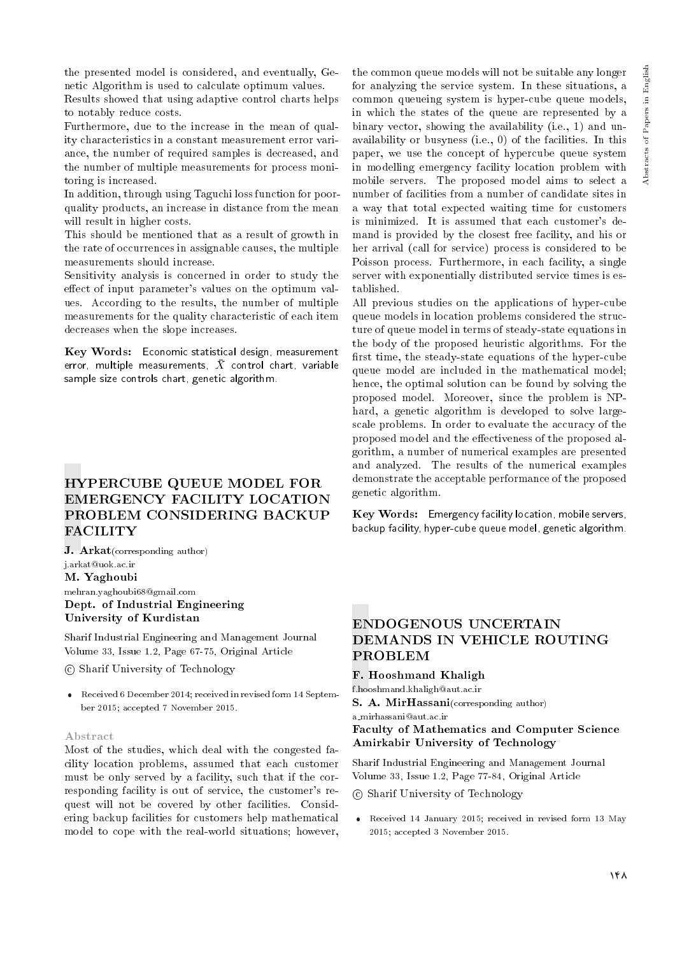the presented model is considered, and eventually, Genetic Algorithm is used to calculate optimum values.

Results showed that using adaptive control charts helps to notably reduce costs.

Furthermore, due to the increase in the mean of quality characteristics in a constant measurement error variance, the number of required samples is decreased, and the number of multiple measurements for process monitoring is increased.

In addition, through using Taguchi loss function for poorquality products, an increase in distance from the mean will result in higher costs.

This should be mentioned that as a result of growth in the rate of occurrences in assignable causes, the multiple measurements should increase.

Sensitivity analysis is concerned in order to study the effect of input parameter's values on the optimum values. According to the results, the number of multiple measurements for the quality characteristic of each item decreases when the slope increases.

Key Words: Economic statistical design, measurement error, multiple measurements,  $\bar{X}$  control chart, variable sample size controls chart, genetic algorithm.

# HYPERCUBE QUEUE MODEL FOR EMERGENCY FACILITY LOCATION PROBLEM CONSIDERING BACKUP FACILITY

J. Arkat(corresponding author) j.arkat@uok.ac.ir M. Yaghoubi mehran.yaghoubi68@gmail.com Dept. of Industrial Engineering University of Kurdistan

Sharif Industrial Engineering and Management Journal Volume 33, Issue 1.2, Page 67-75, Original Article

c Sharif University of Technology

 Received 6 December 2014; received in revised form 14 September 2015; accepted 7 November 2015.

## Abstract

Most of the studies, which deal with the congested facility location problems, assumed that each customer must be only served by a facility, such that if the corresponding facility is out of service, the customer's request will not be covered by other facilities. Considering backup facilities for customers help mathematical model to cope with the real-world situations; however,

the common queue models will not be suitable any longer for analyzing the service system. In these situations, a common queueing system is hyper-cube queue models, in which the states of the queue are represented by a binary vector, showing the availability (i.e., 1) and unavailability or busyness (i.e., 0) of the facilities. In this paper, we use the concept of hypercube queue system in modelling emergency facility location problem with mobile servers. The proposed model aims to select a number of facilities from a number of candidate sites in a way that total expected waiting time for customers is minimized. It is assumed that each customer's demand is provided by the closest free facility, and his or her arrival (call for service) process is considered to be Poisson process. Furthermore, in each facility, a single server with exponentially distributed service times is established.

All previous studies on the applications of hyper-cube queue models in location problems considered the structure of queue model in terms of steady-state equations in the body of the proposed heuristic algorithms. For the first time, the steady-state equations of the hyper-cube queue model are included in the mathematical model; hence, the optimal solution can be found by solving the proposed model. Moreover, since the problem is NPhard, a genetic algorithm is developed to solve largescale problems. In order to evaluate the accuracy of the proposed model and the effectiveness of the proposed algorithm, a number of numerical examples are presented and analyzed. The results of the numerical examples demonstrate the acceptable performance of the proposed genetic algorithm.

Key Words: Emergency facility location, mobile servers, backup facility, hyper-cube queue model, genetic algorithm.

## ENDOGENOUS UNCERTAIN DEMANDS IN VEHICLE ROUTING PROBLEM

## F. Hooshmand Khaligh

f.hooshmand.khaligh@aut.ac.ir

S. A. MirHassani(corresponding author) a mirhassani@aut.ac.ir

Faculty of Mathematics and Computer Science Amirkabir University of Technology

Sharif Industrial Engineering and Management Journal Volume 33, Issue 1.2, Page 77-84, Original Article

#### c Sharif University of Technology

 Received 14 January 2015; received in revised form 13 May 2015; accepted 3 November 2015.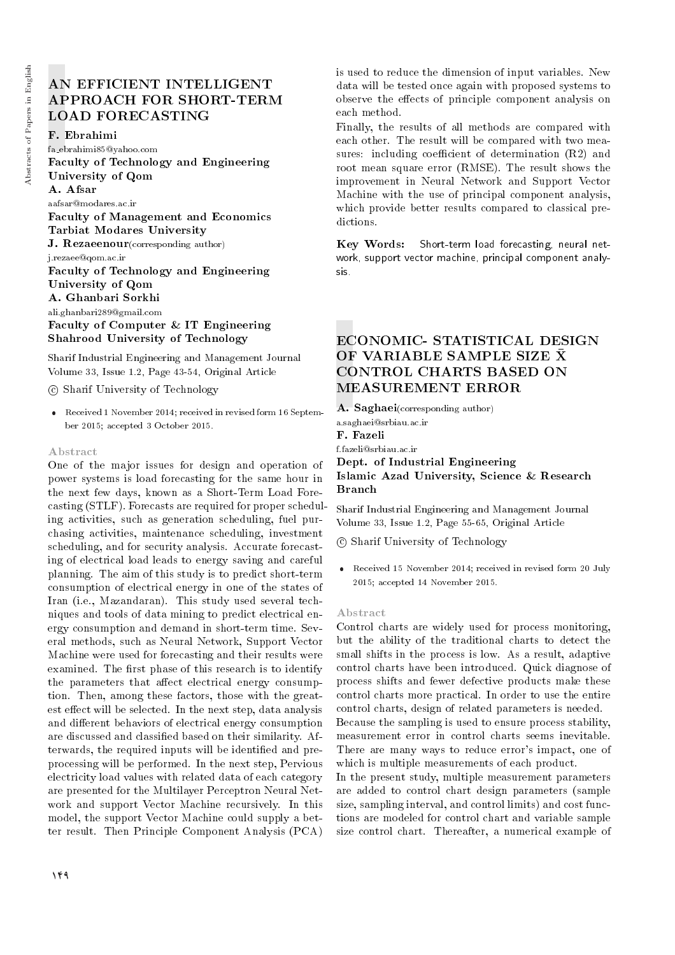# AN EFFICIENT INTELLIGENT APPROACH FOR SHORT-TERM LOAD FORECASTING

#### F. Ebrahimi

fa ebrahimi85@yahoo.com Faculty of Technology and Engineering University of Qom A. Afsar aafsar@modares.ac.ir Faculty of Management and Economics

Tarbiat Modares University

J. Rezaeenour(corresponding author)

j.rezaee@qom.ac.ir

## Faculty of Technology and Engineering University of Qom

A. Ghanbari Sorkhi

ali.ghanbari289@gmail.com Faculty of Computer & IT Engineering Shahrood University of Technology

Sharif Industrial Engineering and Management Journal Volume 33, Issue 1.2, Page 43-54, Original Article

c Sharif University of Technology

 Received 1 November 2014; received in revised form 16 September 2015; accepted 3 October 2015.

#### Abstract

One of the major issues for design and operation of power systems is load forecasting for the same hour in the next few days, known as a Short-Term Load Forecasting (STLF). Forecasts are required for proper scheduling activities, such as generation scheduling, fuel purchasing activities, maintenance scheduling, investment scheduling, and for security analysis. Accurate forecasting of electrical load leads to energy saving and careful planning. The aim of this study is to predict short-term consumption of electrical energy in one of the states of Iran (i.e., Mazandaran). This study used several techniques and tools of data mining to predict electrical energy consumption and demand in short-term time. Several methods, such as Neural Network, Support Vector Machine were used for forecasting and their results were examined. The first phase of this research is to identify the parameters that affect electrical energy consumption. Then, among these factors, those with the greatest effect will be selected. In the next step, data analysis and different behaviors of electrical energy consumption are discussed and classied based on their similarity. Afterwards, the required inputs will be identified and preprocessing will be performed. In the next step, Pervious electricity load values with related data of each category are presented for the Multilayer Perceptron Neural Network and support Vector Machine recursively. In this model, the support Vector Machine could supply a better result. Then Principle Component Analysis (PCA)

is used to reduce the dimension of input variables. New data will be tested once again with proposed systems to observe the effects of principle component analysis on each method.

Finally, the results of all methods are compared with each other. The result will be compared with two measures: including coefficient of determination  $(R2)$  and root mean square error (RMSE). The result shows the improvement in Neural Network and Support Vector Machine with the use of principal component analysis, which provide better results compared to classical predictions.

Key Words: Short-term load forecasting, neural network, support vector machine, principal component analysis.

# ECONOMIC- STATISTICAL DESIGN OF VARIABLE SAMPLE SIZE X CONTROL CHARTS BASED ON MEASUREMENT ERROR

A. Saghaei(corresponding author) a.saghaei@srbiau.ac.ir F. Fazeli f.fazeli@srbiau.ac.ir

## Dept. of Industrial Engineering Islamic Azad University, Science & Research Branch

Sharif Industrial Engineering and Management Journal Volume 33, Issue 1.2, Page 55-65, Original Article

c Sharif University of Technology

 Received 15 November 2014; received in revised form 20 July 2015; accepted 14 November 2015.

#### Abstract

Control charts are widely used for process monitoring, but the ability of the traditional charts to detect the small shifts in the process is low. As a result, adaptive control charts have been introduced. Quick diagnose of process shifts and fewer defective products make these control charts more practical. In order to use the entire control charts, design of related parameters is needed. Because the sampling is used to ensure process stability, measurement error in control charts seems inevitable. There are many ways to reduce error's impact, one of which is multiple measurements of each product. In the present study, multiple measurement parameters

are added to control chart design parameters (sample size, sampling interval, and control limits) and cost functions are modeled for control chart and variable sample size control chart. Thereafter, a numerical example of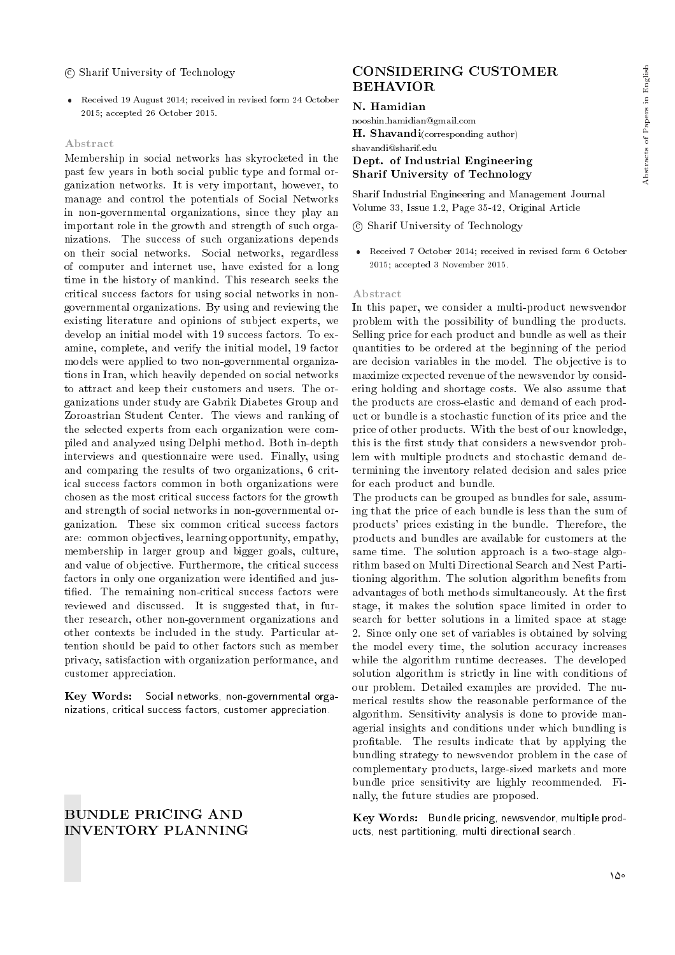#### c Sharif University of Technology

 Received 19 August 2014; received in revised form 24 October 2015; accepted 26 October 2015.

#### Abstract

Membership in social networks has skyrocketed in the past few years in both social public type and formal organization networks. It is very important, however, to manage and control the potentials of Social Networks in non-governmental organizations, since they play an important role in the growth and strength of such organizations. The success of such organizations depends on their social networks. Social networks, regardless of computer and internet use, have existed for a long time in the history of mankind. This research seeks the critical success factors for using social networks in nongovernmental organizations. By using and reviewing the existing literature and opinions of subject experts, we develop an initial model with 19 success factors. To examine, complete, and verify the initial model, 19 factor models were applied to two non-governmental organizations in Iran, which heavily depended on social networks to attract and keep their customers and users. The organizations under study are Gabrik Diabetes Group and Zoroastrian Student Center. The views and ranking of the selected experts from each organization were compiled and analyzed using Delphi method. Both in-depth interviews and questionnaire were used. Finally, using and comparing the results of two organizations, 6 critical success factors common in both organizations were chosen as the most critical success factors for the growth and strength of social networks in non-governmental organization. These six common critical success factors are: common objectives, learning opportunity, empathy, membership in larger group and bigger goals, culture, and value of objective. Furthermore, the critical success factors in only one organization were identified and justied. The remaining non-critical success factors were reviewed and discussed. It is suggested that, in further research, other non-government organizations and other contexts be included in the study. Particular attention should be paid to other factors such as member privacy, satisfaction with organization performance, and customer appreciation.

Key Words: Social networks, non-governmental organizations, critical success factors, customer appreciation.

## BUNDLE PRICING AND INVENTORY PLANNING

## CONSIDERING CUSTOMER BEHAVIOR

#### N. Hamidian

nooshin.hamidian@gmail.com H. Shavandi(corresponding author) shavandi@sharif.edu Dept. of Industrial Engineering Sharif University of Technology

Sharif Industrial Engineering and Management Journal Volume 33, Issue 1.2, Page 35-42, Original Article

c Sharif University of Technology

 Received 7 October 2014; received in revised form 6 October 2015; accepted 3 November 2015.

#### Abstract

In this paper, we consider a multi-product newsvendor problem with the possibility of bundling the products. Selling price for each product and bundle as well as their quantities to be ordered at the beginning of the period are decision variables in the model. The objective is to maximize expected revenue of the newsvendor by considering holding and shortage costs. We also assume that the products are cross-elastic and demand of each product or bundle is a stochastic function of its price and the price of other products. With the best of our knowledge, this is the first study that considers a newsvendor problem with multiple products and stochastic demand determining the inventory related decision and sales price for each product and bundle.

The products can be grouped as bundles for sale, assuming that the price of each bundle is less than the sum of products' prices existing in the bundle. Therefore, the products and bundles are available for customers at the same time. The solution approach is a two-stage algorithm based on Multi Directional Search and Nest Partitioning algorithm. The solution algorithm benets from advantages of both methods simultaneously. At the first stage, it makes the solution space limited in order to search for better solutions in a limited space at stage 2. Since only one set of variables is obtained by solving the model every time, the solution accuracy increases while the algorithm runtime decreases. The developed solution algorithm is strictly in line with conditions of our problem. Detailed examples are provided. The numerical results show the reasonable performance of the algorithm. Sensitivity analysis is done to provide managerial insights and conditions under which bundling is protable. The results indicate that by applying the bundling strategy to newsvendor problem in the case of complementary products, large-sized markets and more bundle price sensitivity are highly recommended. Finally, the future studies are proposed.

Key Words: Bundle pricing, newsvendor, multiple products, nest partitioning, multi directional search.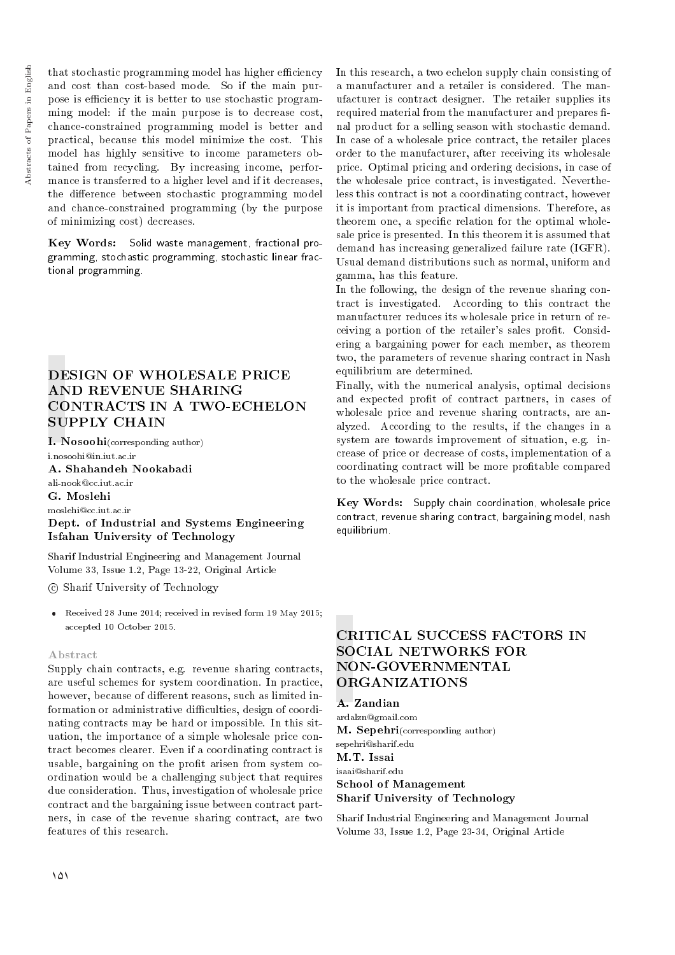that stochastic programming model has higher efficiency and cost than cost-based mode. So if the main purpose is efficiency it is better to use stochastic programming model: if the main purpose is to decrease cost, chance-constrained programming model is better and practical, because this model minimize the cost. This model has highly sensitive to income parameters obtained from recycling. By increasing income, performance is transferred to a higher level and if it decreases, the difference between stochastic programming model and chance-constrained programming (by the purpose of minimizing cost) decreases.

Key Words: Solid waste management, fractional programming, stochastic programming, stochastic linear fractional programming.

## DESIGN OF WHOLESALE PRICE AND REVENUE SHARING CONTRACTS IN A TWO-ECHELON SUPPLY CHAIN

I. Nosoohi(corresponding author) i.nosoohi@in.iut.ac.ir

A. Shahandeh Nookabadi ali-nook@cc.iut.ac.ir

G. Moslehi

moslehi@cc.iut.ac.ir Dept. of Industrial and Systems Engineering

Isfahan University of Technology

Sharif Industrial Engineering and Management Journal Volume 33, Issue 1.2, Page 13-22, Original Article

c Sharif University of Technology

 Received 28 June 2014; received in revised form 19 May 2015; accepted 10 October 2015.

## Abstract

Supply chain contracts, e.g. revenue sharing contracts, are useful schemes for system coordination. In practice, however, because of different reasons, such as limited information or administrative difficulties, design of coordinating contracts may be hard or impossible. In this situation, the importance of a simple wholesale price contract becomes clearer. Even if a coordinating contract is usable, bargaining on the profit arisen from system coordination would be a challenging subject that requires due consideration. Thus, investigation of wholesale price contract and the bargaining issue between contract partners, in case of the revenue sharing contract, are two features of this research.

In this research, a two echelon supply chain consisting of a manufacturer and a retailer is considered. The manufacturer is contract designer. The retailer supplies its required material from the manufacturer and prepares final product for a selling season with stochastic demand. In case of a wholesale price contract, the retailer places order to the manufacturer, after receiving its wholesale price. Optimal pricing and ordering decisions, in case of the wholesale price contract, is investigated. Nevertheless this contract is not a coordinating contract, however it is important from practical dimensions. Therefore, as theorem one, a specific relation for the optimal wholesale price is presented. In this theorem it is assumed that demand has increasing generalized failure rate (IGFR). Usual demand distributions such as normal, uniform and gamma, has this feature.

In the following, the design of the revenue sharing contract is investigated. According to this contract the manufacturer reduces its wholesale price in return of receiving a portion of the retailer's sales profit. Considering a bargaining power for each member, as theorem two, the parameters of revenue sharing contract in Nash equilibrium are determined.

Finally, with the numerical analysis, optimal decisions and expected profit of contract partners, in cases of wholesale price and revenue sharing contracts, are analyzed. According to the results, if the changes in a system are towards improvement of situation, e.g. increase of price or decrease of costs, implementation of a coordinating contract will be more protable compared to the wholesale price contract.

Key Words: Supply chain coordination, wholesale price contract, revenue sharing contract, bargaining model, nash equilibrium.

## CRITICAL SUCCESS FACTORS IN SOCIAL NETWORKS FOR NON-GOVERNMENTAL ORGANIZATIONS

A. Zandian

ardalzn@gmail.com M. Sepehri(corresponding author) sepehri@sharif.edu M.T. Issai isaai@sharif.edu School of Management Sharif University of Technology

Sharif Industrial Engineering and Management Journal Volume 33, Issue 1.2, Page 23-34, Original Article